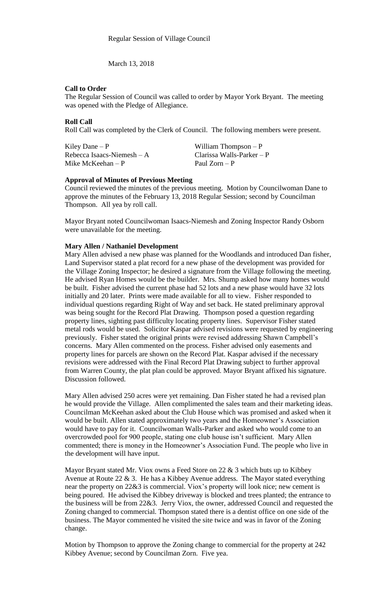March 13, 2018

## **Call to Order**

The Regular Session of Council was called to order by Mayor York Bryant. The meeting was opened with the Pledge of Allegiance.

# **Roll Call**

Roll Call was completed by the Clerk of Council. The following members were present.

Kiley Dane – P William Thompson – P Rebecca Isaacs-Niemesh – A Clarissa Walls-Parker – P<br>Mike McKeehan – P Paul Zorn – P Mike McKeehan –  $P$ 

## **Approval of Minutes of Previous Meeting**

Council reviewed the minutes of the previous meeting. Motion by Councilwoman Dane to approve the minutes of the February 13, 2018 Regular Session; second by Councilman Thompson. All yea by roll call.

Mayor Bryant noted Councilwoman Isaacs-Niemesh and Zoning Inspector Randy Osborn were unavailable for the meeting.

# **Mary Allen / Nathaniel Development**

Mary Allen advised a new phase was planned for the Woodlands and introduced Dan fisher, Land Supervisor stated a plat record for a new phase of the development was provided for the Village Zoning Inspector; he desired a signature from the Village following the meeting. He advised Ryan Homes would be the builder. Mrs. Shump asked how many homes would be built. Fisher advised the current phase had 52 lots and a new phase would have 32 lots initially and 20 later. Prints were made available for all to view. Fisher responded to individual questions regarding Right of Way and set back. He stated preliminary approval was being sought for the Record Plat Drawing. Thompson posed a question regarding property lines, sighting past difficulty locating property lines. Supervisor Fisher stated metal rods would be used. Solicitor Kaspar advised revisions were requested by engineering previously. Fisher stated the original prints were revised addressing Shawn Campbell's concerns. Mary Allen commented on the process. Fisher advised only easements and property lines for parcels are shown on the Record Plat. Kaspar advised if the necessary revisions were addressed with the Final Record Plat Drawing subject to further approval from Warren County, the plat plan could be approved. Mayor Bryant affixed his signature. Discussion followed.

Mary Allen advised 250 acres were yet remaining. Dan Fisher stated he had a revised plan he would provide the Village. Allen complimented the sales team and their marketing ideas. Councilman McKeehan asked about the Club House which was promised and asked when it would be built. Allen stated approximately two years and the Homeowner's Association would have to pay for it. Councilwoman Walls-Parker and asked who would come to an overcrowded pool for 900 people, stating one club house isn't sufficient. Mary Allen commented; there is money in the Homeowner's Association Fund. The people who live in the development will have input.

Mayor Bryant stated Mr. Viox owns a Feed Store on 22  $\&$  3 which buts up to Kibbey Avenue at Route 22  $\&$  3. He has a Kibbey Avenue address. The Mayor stated everything near the property on 22&3 is commercial. Viox's property will look nice; new cement is being poured. He advised the Kibbey driveway is blocked and trees planted; the entrance to the business will be from 22&3. Jerry Viox, the owner, addressed Council and requested the Zoning changed to commercial. Thompson stated there is a dentist office on one side of the business. The Mayor commented he visited the site twice and was in favor of the Zoning change.

Motion by Thompson to approve the Zoning change to commercial for the property at 242 Kibbey Avenue; second by Councilman Zorn. Five yea.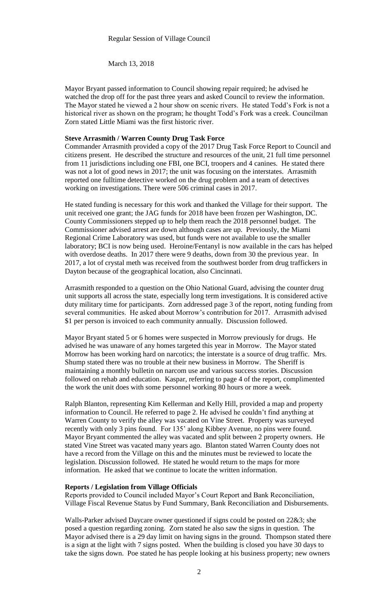March 13, 2018

Mayor Bryant passed information to Council showing repair required; he advised he watched the drop off for the past three years and asked Council to review the information. The Mayor stated he viewed a 2 hour show on scenic rivers. He stated Todd's Fork is not a historical river as shown on the program; he thought Todd's Fork was a creek. Councilman Zorn stated Little Miami was the first historic river.

#### **Steve Arrasmith / Warren County Drug Task Force**

Commander Arrasmith provided a copy of the 2017 Drug Task Force Report to Council and citizens present. He described the structure and resources of the unit, 21 full time personnel from 11 jurisdictions including one FBI, one BCI, troopers and 4 canines. He stated there was not a lot of good news in 2017; the unit was focusing on the interstates. Arrasmith reported one fulltime detective worked on the drug problem and a team of detectives working on investigations. There were 506 criminal cases in 2017.

He stated funding is necessary for this work and thanked the Village for their support. The unit received one grant; the JAG funds for 2018 have been frozen per Washington, DC. County Commissioners stepped up to help them reach the 2018 personnel budget. The Commissioner advised arrest are down although cases are up. Previously, the Miami Regional Crime Laboratory was used, but funds were not available to use the smaller laboratory; BCI is now being used. Heroine/Fentanyl is now available in the cars has helped with overdose deaths. In 2017 there were 9 deaths, down from 30 the previous year. In 2017, a lot of crystal meth was received from the southwest border from drug traffickers in Dayton because of the geographical location, also Cincinnati.

Arrasmith responded to a question on the Ohio National Guard, advising the counter drug unit supports all across the state, especially long term investigations. It is considered active duty military time for participants. Zorn addressed page 3 of the report, noting funding from several communities. He asked about Morrow's contribution for 2017. Arrasmith advised \$1 per person is invoiced to each community annually. Discussion followed.

Mayor Bryant stated 5 or 6 homes were suspected in Morrow previously for drugs. He advised he was unaware of any homes targeted this year in Morrow. The Mayor stated Morrow has been working hard on narcotics; the interstate is a source of drug traffic. Mrs. Shump stated there was no trouble at their new business in Morrow. The Sheriff is maintaining a monthly bulletin on narcom use and various success stories. Discussion followed on rehab and education. Kaspar, referring to page 4 of the report, complimented the work the unit does with some personnel working 80 hours or more a week.

Ralph Blanton, representing Kim Kellerman and Kelly Hill, provided a map and property information to Council. He referred to page 2. He advised he couldn't find anything at Warren County to verify the alley was vacated on Vine Street. Property was surveyed recently with only 3 pins found. For 135' along Kibbey Avenue, no pins were found. Mayor Bryant commented the alley was vacated and split between 2 property owners. He stated Vine Street was vacated many years ago. Blanton stated Warren County does not have a record from the Village on this and the minutes must be reviewed to locate the legislation. Discussion followed. He stated he would return to the maps for more information. He asked that we continue to locate the written information.

### **Reports / Legislation from Village Officials**

Reports provided to Council included Mayor's Court Report and Bank Reconciliation, Village Fiscal Revenue Status by Fund Summary, Bank Reconciliation and Disbursements.

Walls-Parker advised Daycare owner questioned if signs could be posted on 22&3; she posed a question regarding zoning. Zorn stated he also saw the signs in question. The Mayor advised there is a 29 day limit on having signs in the ground. Thompson stated there is a sign at the light with 7 signs posted. When the building is closed you have 30 days to take the signs down. Poe stated he has people looking at his business property; new owners